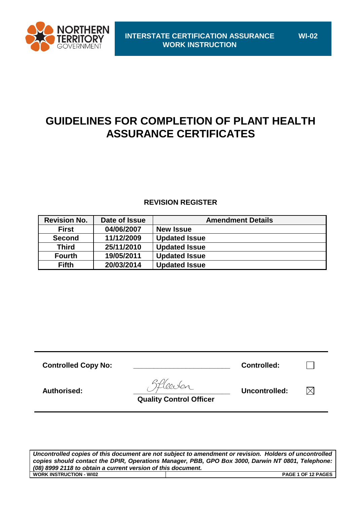

# **GUIDELINES FOR COMPLETION OF PLANT HEALTH ASSURANCE CERTIFICATES**

# **REVISION REGISTER**

| <b>Revision No.</b> | Date of Issue | <b>Amendment Details</b> |
|---------------------|---------------|--------------------------|
| <b>First</b>        | 04/06/2007    | <b>New Issue</b>         |
| <b>Second</b>       | 11/12/2009    | <b>Updated Issue</b>     |
| <b>Third</b>        | 25/11/2010    | <b>Updated Issue</b>     |
| <b>Fourth</b>       | 19/05/2011    | <b>Updated Issue</b>     |
| <b>Fifth</b>        | 20/03/2014    | <b>Updated Issue</b>     |

**Controlled Copy No: \_\_\_\_\_\_\_\_\_\_\_\_\_\_\_\_\_\_\_\_\_\_\_\_ Controlled:**  $\Box$ **Authorised: \_\_\_\_\_\_\_\_\_\_\_\_\_\_\_\_\_\_\_\_\_\_\_\_ Uncontrolled:**   $\boxtimes$  **Quality Control Officer**

*Uncontrolled copies of this document are not subject to amendment or revision. Holders of uncontrolled copies should contact the DPIR, Operations Manager, PBB, GPO Box 3000, Darwin NT 0801, Telephone: (08) 8999 2118 to obtain a current version of this document.* **WORK INSTRUCTION - WI02 PAGE 1 OF 12 PAGES**

**WI-02**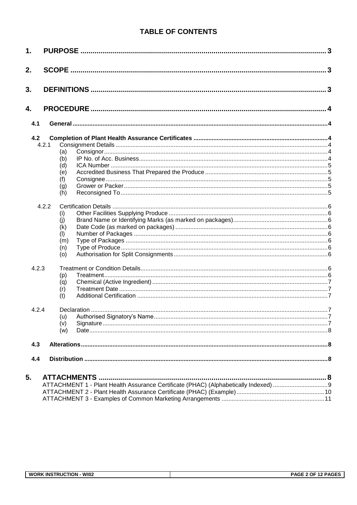# **TABLE OF CONTENTS**

| 1.    |       |                     |   |
|-------|-------|---------------------|---|
| 2.    |       |                     | 3 |
| 3.    |       |                     |   |
| 4.    |       |                     |   |
| 4.1   |       |                     |   |
| 4.2   |       |                     |   |
| 4.2.1 |       |                     |   |
|       | (a)   |                     |   |
|       | (b)   |                     |   |
|       | (d)   |                     |   |
|       | (e)   |                     |   |
|       |       |                     |   |
|       | (f)   |                     |   |
|       | (g)   |                     |   |
|       | (h)   |                     |   |
|       | 4.2.2 |                     |   |
|       | (i)   |                     |   |
|       | (i)   |                     |   |
|       | (k)   |                     |   |
|       | (1)   |                     |   |
|       | (m)   |                     |   |
|       |       |                     |   |
|       | (n)   |                     |   |
|       | (0)   |                     |   |
| 4.2.3 |       |                     |   |
|       | (p)   |                     |   |
|       | (q)   |                     |   |
|       | (r)   |                     |   |
|       | (t)   |                     |   |
|       |       |                     |   |
| 4.2.4 |       |                     |   |
|       | (u)   |                     |   |
|       | (v)   |                     |   |
|       | (w)   |                     |   |
|       |       |                     |   |
| 4.3   |       |                     |   |
| 4.4   |       |                     |   |
|       |       |                     |   |
| 5.    |       | <b>ATTACHMENTS.</b> |   |
|       |       |                     |   |
|       |       |                     |   |
|       |       |                     |   |
|       |       |                     |   |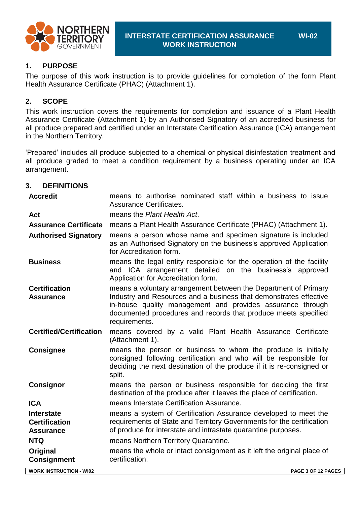

**WI-02**

### **1. PURPOSE**

The purpose of this work instruction is to provide guidelines for completion of the form Plant Health Assurance Certificate (PHAC) (Attachment 1).

### **2. SCOPE**

This work instruction covers the requirements for completion and issuance of a Plant Health Assurance Certificate (Attachment 1) by an Authorised Signatory of an accredited business for all produce prepared and certified under an Interstate Certification Assurance (ICA) arrangement in the Northern Territory.

'Prepared' includes all produce subjected to a chemical or physical disinfestation treatment and all produce graded to meet a condition requirement by a business operating under an ICA arrangement.

### **3. DEFINITIONS**

| <b>Accredit</b>                                               | Assurance Certificates.              | means to authorise nominated staff within a business to issue                                                                                                                                                                                                        |
|---------------------------------------------------------------|--------------------------------------|----------------------------------------------------------------------------------------------------------------------------------------------------------------------------------------------------------------------------------------------------------------------|
| Act                                                           | means the Plant Health Act.          |                                                                                                                                                                                                                                                                      |
| <b>Assurance Certificate</b>                                  |                                      | means a Plant Health Assurance Certificate (PHAC) (Attachment 1).                                                                                                                                                                                                    |
| <b>Authorised Signatory</b>                                   | for Accreditation form.              | means a person whose name and specimen signature is included<br>as an Authorised Signatory on the business's approved Application                                                                                                                                    |
| <b>Business</b>                                               | Application for Accreditation form.  | means the legal entity responsible for the operation of the facility<br>and ICA arrangement detailed on the business's approved                                                                                                                                      |
| <b>Certification</b><br><b>Assurance</b>                      | requirements.                        | means a voluntary arrangement between the Department of Primary<br>Industry and Resources and a business that demonstrates effective<br>in-house quality management and provides assurance through<br>documented procedures and records that produce meets specified |
| <b>Certified/Certification</b>                                | (Attachment 1).                      | means covered by a valid Plant Health Assurance Certificate                                                                                                                                                                                                          |
| <b>Consignee</b>                                              | split.                               | means the person or business to whom the produce is initially<br>consigned following certification and who will be responsible for<br>deciding the next destination of the produce if it is re-consigned or                                                          |
| <b>Consignor</b>                                              |                                      | means the person or business responsible for deciding the first<br>destination of the produce after it leaves the place of certification.                                                                                                                            |
| <b>ICA</b>                                                    |                                      | means Interstate Certification Assurance.                                                                                                                                                                                                                            |
| <b>Interstate</b><br><b>Certification</b><br><b>Assurance</b> |                                      | means a system of Certification Assurance developed to meet the<br>requirements of State and Territory Governments for the certification<br>of produce for interstate and intrastate quarantine purposes.                                                            |
| <b>NTQ</b>                                                    | means Northern Territory Quarantine. |                                                                                                                                                                                                                                                                      |
| Original<br><b>Consignment</b>                                | certification.                       | means the whole or intact consignment as it left the original place of                                                                                                                                                                                               |
| <b>WORK INSTRUCTION - WI02</b>                                |                                      | PAGE 3 OF 12 PAGES                                                                                                                                                                                                                                                   |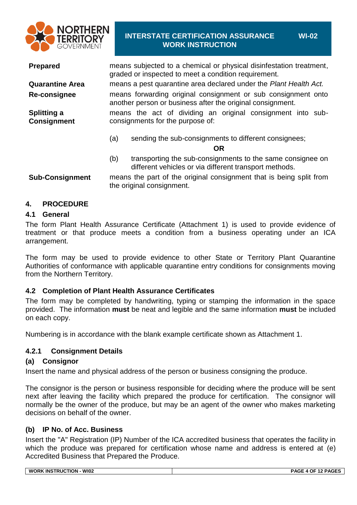

## **INTERSTATE CERTIFICATION ASSURANCE WORK INSTRUCTION**

**WI-02**

**Prepared** means subjected to a chemical or physical disinfestation treatment, graded or inspected to meet a condition requirement. **Quarantine Area** means a pest quarantine area declared under the *Plant Health Act.* **Re-consignee** means forwarding original consignment or sub consignment onto another person or business after the original consignment. **Splitting a Consignment** means the act of dividing an original consignment into subconsignments for the purpose of: (a) sending the sub-consignments to different consignees; **OR**

- (b) transporting the sub-consignments to the same consignee on different vehicles or via different transport methods.
- **Sub-Consignment** means the part of the original consignment that is being split from the original consignment.

### **4. PROCEDURE**

### **4.1 General**

The form Plant Health Assurance Certificate (Attachment 1) is used to provide evidence of treatment or that produce meets a condition from a business operating under an ICA arrangement.

The form may be used to provide evidence to other State or Territory Plant Quarantine Authorities of conformance with applicable quarantine entry conditions for consignments moving from the Northern Territory.

### **4.2 Completion of Plant Health Assurance Certificates**

The form may be completed by handwriting, typing or stamping the information in the space provided. The information **must** be neat and legible and the same information **must** be included on each copy.

Numbering is in accordance with the blank example certificate shown as Attachment 1.

### **4.2.1 Consignment Details**

### **(a) Consignor**

Insert the name and physical address of the person or business consigning the produce.

The consignor is the person or business responsible for deciding where the produce will be sent next after leaving the facility which prepared the produce for certification. The consignor will normally be the owner of the produce, but may be an agent of the owner who makes marketing decisions on behalf of the owner.

### **(b) IP No. of Acc. Business**

Insert the "A" Registration (IP) Number of the ICA accredited business that operates the facility in which the produce was prepared for certification whose name and address is entered at (e) Accredited Business that Prepared the Produce.

| <b>WI02</b><br>.05105<br><b>INSTRUCTION</b><br><b>WORK</b><br>.<br>ு∆்ட<br>ΟF |              |
|-------------------------------------------------------------------------------|--------------|
|                                                                               | <b>PAGES</b> |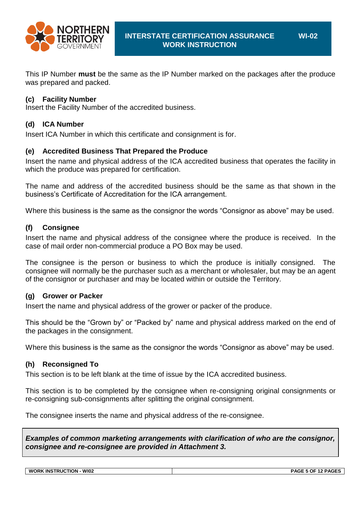

**WI-02**

This IP Number **must** be the same as the IP Number marked on the packages after the produce was prepared and packed.

### **(c) Facility Number**

Insert the Facility Number of the accredited business.

## **(d) ICA Number**

Insert ICA Number in which this certificate and consignment is for.

### **(e) Accredited Business That Prepared the Produce**

Insert the name and physical address of the ICA accredited business that operates the facility in which the produce was prepared for certification.

The name and address of the accredited business should be the same as that shown in the business's Certificate of Accreditation for the ICA arrangement.

Where this business is the same as the consignor the words "Consignor as above" may be used.

### **(f) Consignee**

Insert the name and physical address of the consignee where the produce is received. In the case of mail order non-commercial produce a PO Box may be used.

The consignee is the person or business to which the produce is initially consigned. The consignee will normally be the purchaser such as a merchant or wholesaler, but may be an agent of the consignor or purchaser and may be located within or outside the Territory.

### **(g) Grower or Packer**

Insert the name and physical address of the grower or packer of the produce.

This should be the "Grown by" or "Packed by" name and physical address marked on the end of the packages in the consignment.

Where this business is the same as the consignor the words "Consignor as above" may be used.

### **(h) Reconsigned To**

This section is to be left blank at the time of issue by the ICA accredited business.

This section is to be completed by the consignee when re-consigning original consignments or re-consigning sub-consignments after splitting the original consignment.

The consignee inserts the name and physical address of the re-consignee.

*Examples of common marketing arrangements with clarification of who are the consignor, consignee and re-consignee are provided in Attachment 3.*

**WORK INSTRUCTION - WI02 PAGE 5 OF 12 PAGES**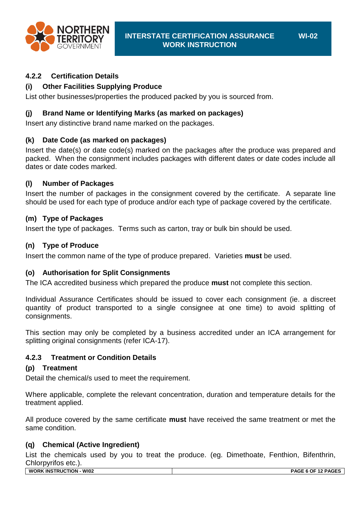

**WI-02**

### **4.2.2 Certification Details**

## **(i) Other Facilities Supplying Produce**

List other businesses/properties the produced packed by you is sourced from.

### **(j) Brand Name or Identifying Marks (as marked on packages)**

Insert any distinctive brand name marked on the packages.

### **(k) Date Code (as marked on packages)**

Insert the date(s) or date code(s) marked on the packages after the produce was prepared and packed. When the consignment includes packages with different dates or date codes include all dates or date codes marked.

### **(l) Number of Packages**

Insert the number of packages in the consignment covered by the certificate. A separate line should be used for each type of produce and/or each type of package covered by the certificate.

### **(m) Type of Packages**

Insert the type of packages. Terms such as carton, tray or bulk bin should be used.

### **(n) Type of Produce**

Insert the common name of the type of produce prepared. Varieties **must** be used.

### **(o) Authorisation for Split Consignments**

The ICA accredited business which prepared the produce **must** not complete this section.

Individual Assurance Certificates should be issued to cover each consignment (ie. a discreet quantity of product transported to a single consignee at one time) to avoid splitting of consignments.

This section may only be completed by a business accredited under an ICA arrangement for splitting original consignments (refer ICA-17).

### **4.2.3 Treatment or Condition Details**

### **(p) Treatment**

Detail the chemical/s used to meet the requirement.

Where applicable, complete the relevant concentration, duration and temperature details for the treatment applied.

All produce covered by the same certificate **must** have received the same treatment or met the same condition.

### **(q) Chemical (Active Ingredient)**

List the chemicals used by you to treat the produce. (eg. Dimethoate, Fenthion, Bifenthrin, Chlorpyrifos etc.).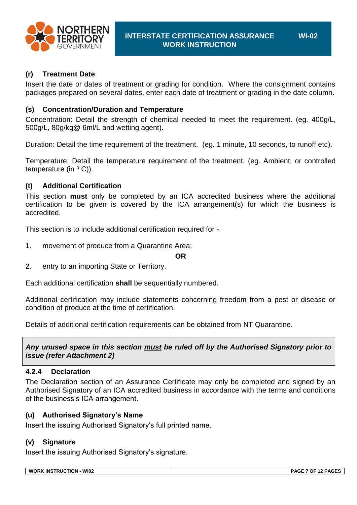

# **(r) Treatment Date**

Insert the date or dates of treatment or grading for condition. Where the consignment contains packages prepared on several dates, enter each date of treatment or grading in the date column.

# **(s) Concentration/Duration and Temperature**

Concentration: Detail the strength of chemical needed to meet the requirement. (eg. 400g/L, 500g/L, 80g/kg@ 6ml/L and wetting agent).

Duration: Detail the time requirement of the treatment. (eg. 1 minute, 10 seconds, to runoff etc).

Temperature: Detail the temperature requirement of the treatment. (eg. Ambient, or controlled temperature (in  $\circ$  C)).

# **(t) Additional Certification**

This section **must** only be completed by an ICA accredited business where the additional certification to be given is covered by the ICA arrangement(s) for which the business is accredited.

This section is to include additional certification required for -

1. movement of produce from a Quarantine Area;

**OR**

2. entry to an importing State or Territory.

Each additional certification **shall** be sequentially numbered.

Additional certification may include statements concerning freedom from a pest or disease or condition of produce at the time of certification.

Details of additional certification requirements can be obtained from NT Quarantine.

### *Any unused space in this section must be ruled off by the Authorised Signatory prior to issue (refer Attachment 2)*

### **4.2.4 Declaration**

The Declaration section of an Assurance Certificate may only be completed and signed by an Authorised Signatory of an ICA accredited business in accordance with the terms and conditions of the business's ICA arrangement.

### **(u) Authorised Signatory's Name**

Insert the issuing Authorised Signatory's full printed name.

### **(v) Signature**

Insert the issuing Authorised Signatory's signature.

| <b>WI02</b><br><b>WORK</b><br>. INS<br><b>JTRUCTION</b> | $- - -$<br>- - - -<br>. .<br><u>эл.</u><br>OΕ<br>.<br>ייטר |
|---------------------------------------------------------|------------------------------------------------------------|
|                                                         |                                                            |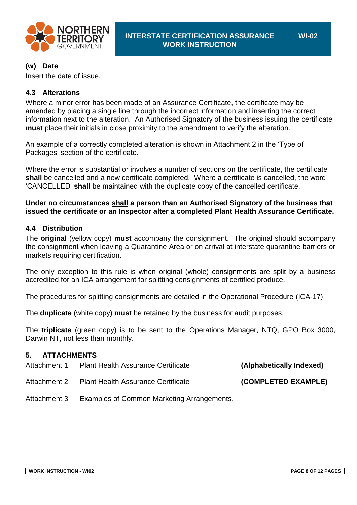

# **(w) Date**

Insert the date of issue.

# **4.3 Alterations**

Where a minor error has been made of an Assurance Certificate, the certificate may be amended by placing a single line through the incorrect information and inserting the correct information next to the alteration. An Authorised Signatory of the business issuing the certificate **must** place their initials in close proximity to the amendment to verify the alteration.

An example of a correctly completed alteration is shown in Attachment 2 in the 'Type of Packages' section of the certificate.

Where the error is substantial or involves a number of sections on the certificate, the certificate **shall** be cancelled and a new certificate completed. Where a certificate is cancelled, the word 'CANCELLED' **shall** be maintained with the duplicate copy of the cancelled certificate.

### **Under no circumstances shall a person than an Authorised Signatory of the business that issued the certificate or an Inspector alter a completed Plant Health Assurance Certificate.**

### **4.4 Distribution**

The **original** (yellow copy) **must** accompany the consignment. The original should accompany the consignment when leaving a Quarantine Area or on arrival at interstate quarantine barriers or markets requiring certification.

The only exception to this rule is when original (whole) consignments are split by a business accredited for an ICA arrangement for splitting consignments of certified produce.

The procedures for splitting consignments are detailed in the Operational Procedure (ICA-17).

The **duplicate** (white copy) **must** be retained by the business for audit purposes.

The **triplicate** (green copy) is to be sent to the Operations Manager, NTQ, GPO Box 3000, Darwin NT, not less than monthly.

# **5. ATTACHMENTS**

| Attachment 1 | <b>Plant Health Assurance Certificate</b>  | (Alphabetically Indexed) |
|--------------|--------------------------------------------|--------------------------|
| Attachment 2 | <b>Plant Health Assurance Certificate</b>  | (COMPLETED EXAMPLE)      |
| Attachment 3 | Examples of Common Marketing Arrangements. |                          |

**WI-02**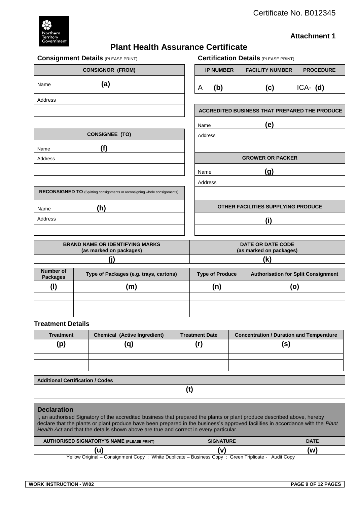

### **Attachment 1**

# **Plant Health Assurance Certificate**

| <b>Consignment Details (PLEASE PRINT)</b>                                   |                  | <b>Certification Details (PLEASE PRINT)</b>          |                  |
|-----------------------------------------------------------------------------|------------------|------------------------------------------------------|------------------|
| <b>CONSIGNOR (FROM)</b>                                                     | <b>IP NUMBER</b> | <b>FACILITY NUMBER</b>                               | <b>PROCEDURE</b> |
| (a)<br>Name                                                                 | (b)<br>A         | (c)                                                  | $ICA-$ (d)       |
| Address                                                                     |                  |                                                      |                  |
|                                                                             |                  | <b>ACCREDITED BUSINESS THAT PREPARED THE PRODUCE</b> |                  |
|                                                                             | Name             | (e)                                                  |                  |
| <b>CONSIGNEE (TO)</b>                                                       | Address          |                                                      |                  |
| (f)<br>Name                                                                 |                  |                                                      |                  |
| Address                                                                     |                  | <b>GROWER OR PACKER</b>                              |                  |
|                                                                             | Name             | (g)                                                  |                  |
|                                                                             | Address          |                                                      |                  |
| RECONSIGNED TO (Splitting consignments or reconsigning whole consignments). |                  |                                                      |                  |
| (h)<br>Name                                                                 |                  | OTHER FACILITIES SUPPLYING PRODUCE                   |                  |
| Address                                                                     |                  | (i)                                                  |                  |
|                                                                             |                  |                                                      |                  |

| <b>BRAND NAME OR IDENTIFYING MARKS</b> | DATE OR DATE CODE       |
|----------------------------------------|-------------------------|
| (as marked on packages)                | (as marked on packages) |
|                                        | (k                      |

| Number of<br><b>Packages</b> | Type of Packages (e.g. trays, cartons) | <b>Type of Produce</b> | <b>Authorisation for Split Consignment</b> |
|------------------------------|----------------------------------------|------------------------|--------------------------------------------|
| (I)                          | (m)                                    | (n)                    | (o)                                        |
|                              |                                        |                        |                                            |
|                              |                                        |                        |                                            |
|                              |                                        |                        |                                            |

#### **Treatment Details**

| <b>Treatment</b> | <b>Chemical (Active Ingredient)</b> | <b>Treatment Date</b> | <b>Concentration / Duration and Temperature</b> |
|------------------|-------------------------------------|-----------------------|-------------------------------------------------|
| 'p)              | $\overline{\phantom{a}}$            |                       | IS                                              |
|                  |                                     |                       |                                                 |
|                  |                                     |                       |                                                 |
|                  |                                     |                       |                                                 |
|                  |                                     |                       |                                                 |

**Additional Certification / Codes**

**(t)**

### **Declaration**

I, an authorised Signatory of the accredited business that prepared the plants or plant produce described above, hereby declare that the plants or plant produce have been prepared in the business's approved facilities in accordance with the *Plant Health Act and that the details shown above are true and correct in every particular.* 

| <b>AUTHORISED SIGNATORY'S NAME (PLEASE PRINT)</b> | <b>SIGNATURE</b>                                                                                   | <b>DATE</b> |
|---------------------------------------------------|----------------------------------------------------------------------------------------------------|-------------|
|                                                   |                                                                                                    | (w)         |
|                                                   | Yellow Original – Consignment Copy: White Duplicate – Business Copy: Green Triplicate - Audit Copy |             |

**WORK INSTRUCTION - WI02 PAGE 9 OF 12 PAGES**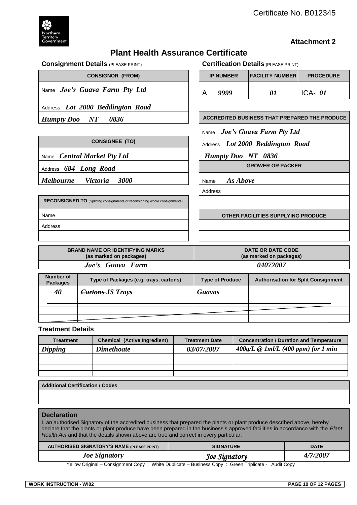

### **Attachment 2**

# **Plant Health Assurance Certificate**

|                              | <b>Consignment Details (PLEASE PRINT)</b>                                          |                           | <b>Certification Details (PLEASE PRINT)</b>          |                  |
|------------------------------|------------------------------------------------------------------------------------|---------------------------|------------------------------------------------------|------------------|
|                              | <b>CONSIGNOR (FROM)</b>                                                            | <b>IP NUMBER</b>          | <b>FACILITY NUMBER</b>                               | <b>PROCEDURE</b> |
|                              | Name Joe's Guava Farm Pty Ltd                                                      | 9999<br>A                 | 01                                                   | ICA- $01$        |
|                              | Address Lot 2000 Beddington Road                                                   |                           |                                                      |                  |
| <b>Humpty</b> Doo            | 0836<br>$\bm{N}\bm{T}$                                                             |                           | <b>ACCREDITED BUSINESS THAT PREPARED THE PRODUCE</b> |                  |
|                              |                                                                                    |                           | Name Joe's Guava Farm Pty Ltd                        |                  |
|                              | <b>CONSIGNEE (TO)</b>                                                              |                           | Address Lot 2000 Beddington Road                     |                  |
| Name                         | <b>Central Market Pty Ltd</b>                                                      | <b>Humpty Doo NT 0836</b> |                                                      |                  |
|                              | Address 684 Long Road                                                              |                           | <b>GROWER OR PACKER</b>                              |                  |
|                              |                                                                                    |                           |                                                      |                  |
| <b>Melbourne</b>             | 3000<br><i>Victoria</i>                                                            | As Above<br>Name          |                                                      |                  |
|                              |                                                                                    | Address                   |                                                      |                  |
|                              | <b>RECONSIGNED TO</b> (Splitting consignments or reconsigning whole consignments). |                           |                                                      |                  |
| Name                         |                                                                                    |                           | OTHER FACILITIES SUPPLYING PRODUCE                   |                  |
| Address                      |                                                                                    |                           |                                                      |                  |
|                              |                                                                                    |                           |                                                      |                  |
|                              | <b>BRAND NAME OR IDENTIFYING MARKS</b>                                             |                           | <b>DATE OR DATE CODE</b>                             |                  |
|                              | (as marked on packages)<br>Joe's Guava Farm                                        |                           | (as marked on packages)<br>04072007                  |                  |
| Number of<br><b>Packages</b> | Type of Packages (e.g. trays, cartons)                                             | <b>Type of Produce</b>    | <b>Authorisation for Split Consignment</b>           |                  |
| 40                           | <b>Cartons-JS Trays</b>                                                            | <b>Guavas</b>             |                                                      |                  |
|                              |                                                                                    |                           |                                                      |                  |

| <b>Treatment</b> | <b>Chemical (Active Ingredient)</b> | <b>Treatment Date</b> | <b>Concentration / Duration and Temperature</b> |
|------------------|-------------------------------------|-----------------------|-------------------------------------------------|
| <b>Dipping</b>   | <b>Dimethoate</b>                   | <i>03/07/2007</i>     | $400g/L \t{Q}$ 1ml/L (400 ppm) for 1 min        |
|                  |                                     |                       |                                                 |
|                  |                                     |                       |                                                 |
|                  |                                     |                       |                                                 |
|                  |                                     |                       |                                                 |
|                  |                                     |                       |                                                 |

#### **Additional Certification / Codes**

#### **Declaration**

I, an authorised Signatory of the accredited business that prepared the plants or plant produce described above, hereby declare that the plants or plant produce have been prepared in the business's approved facilities in accordance with the *Plant Health Act* and that the details shown above are true and correct in every particular.

| <b>AUTHORISED SIGNATORY'S NAME (PLEASE PRINT)</b> | <b>SIGNATURE</b> | <b>DATE</b> |
|---------------------------------------------------|------------------|-------------|
| <b>Joe Signatory</b>                              | Joe Signatory    | 4/7/2007    |

Yellow Original – Consignment Copy : White Duplicate – Business Copy : Green Triplicate - Audit Copy

| <b>TRUCTION</b><br><b>WI02</b><br>. INS<br><b>WORK</b> | . OF<br>$\overline{a}$<br><b>PAGF</b><br>$- - -$<br>10<br>PAG∟<br>$\cdot$<br>nv |
|--------------------------------------------------------|---------------------------------------------------------------------------------|
|                                                        |                                                                                 |